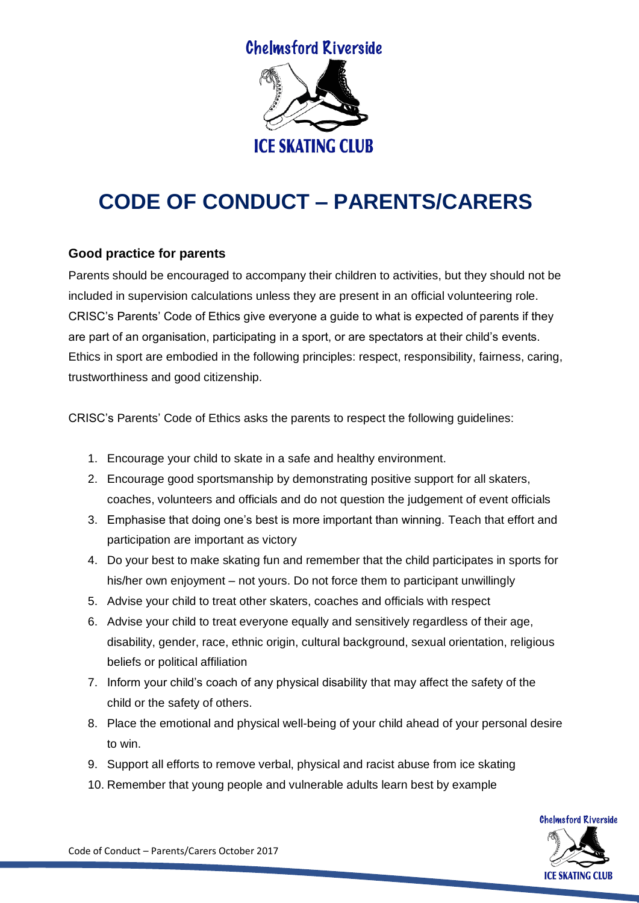

## **CODE OF CONDUCT – PARENTS/CARERS**

## **Good practice for parents**

Parents should be encouraged to accompany their children to activities, but they should not be included in supervision calculations unless they are present in an official volunteering role. CRISC's Parents' Code of Ethics give everyone a guide to what is expected of parents if they are part of an organisation, participating in a sport, or are spectators at their child's events. Ethics in sport are embodied in the following principles: respect, responsibility, fairness, caring, trustworthiness and good citizenship.

CRISC's Parents' Code of Ethics asks the parents to respect the following guidelines:

- 1. Encourage your child to skate in a safe and healthy environment.
- 2. Encourage good sportsmanship by demonstrating positive support for all skaters, coaches, volunteers and officials and do not question the judgement of event officials
- 3. Emphasise that doing one's best is more important than winning. Teach that effort and participation are important as victory
- 4. Do your best to make skating fun and remember that the child participates in sports for his/her own enjoyment – not yours. Do not force them to participant unwillingly
- 5. Advise your child to treat other skaters, coaches and officials with respect
- 6. Advise your child to treat everyone equally and sensitively regardless of their age, disability, gender, race, ethnic origin, cultural background, sexual orientation, religious beliefs or political affiliation
- 7. Inform your child's coach of any physical disability that may affect the safety of the child or the safety of others.
- 8. Place the emotional and physical well-being of your child ahead of your personal desire to win.
- 9. Support all efforts to remove verbal, physical and racist abuse from ice skating
- 10. Remember that young people and vulnerable adults learn best by example



Code of Conduct – Parents/Carers October 2017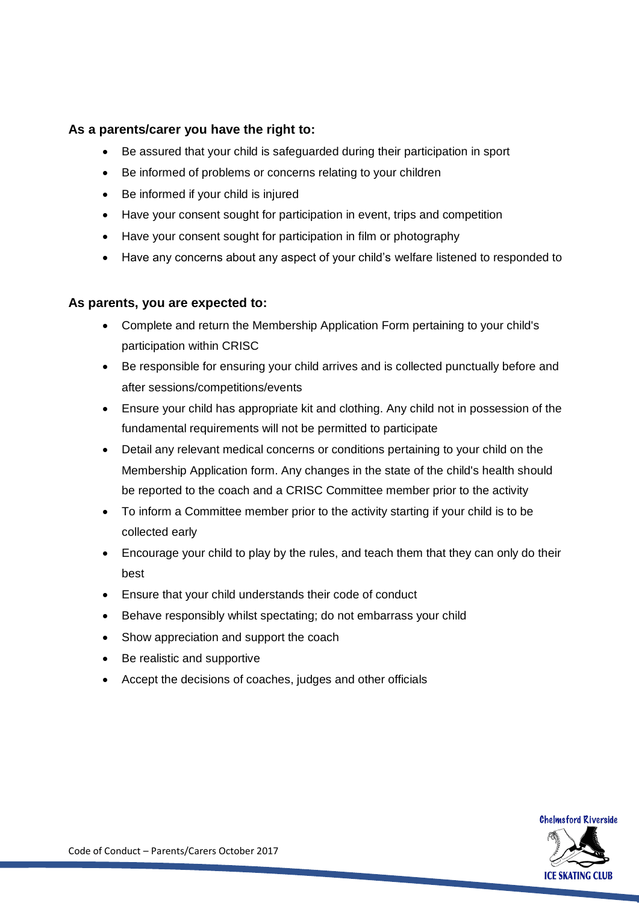## **As a parents/carer you have the right to:**

- Be assured that your child is safeguarded during their participation in sport
- Be informed of problems or concerns relating to your children
- Be informed if your child is injured
- Have your consent sought for participation in event, trips and competition
- Have your consent sought for participation in film or photography
- Have any concerns about any aspect of your child's welfare listened to responded to

## **As parents, you are expected to:**

- Complete and return the Membership Application Form pertaining to your child's participation within CRISC
- Be responsible for ensuring your child arrives and is collected punctually before and after sessions/competitions/events
- Ensure your child has appropriate kit and clothing. Any child not in possession of the fundamental requirements will not be permitted to participate
- Detail any relevant medical concerns or conditions pertaining to your child on the Membership Application form. Any changes in the state of the child's health should be reported to the coach and a CRISC Committee member prior to the activity
- To inform a Committee member prior to the activity starting if your child is to be collected early
- Encourage your child to play by the rules, and teach them that they can only do their best
- Ensure that your child understands their code of conduct
- Behave responsibly whilst spectating; do not embarrass your child
- Show appreciation and support the coach
- Be realistic and supportive
- Accept the decisions of coaches, judges and other officials